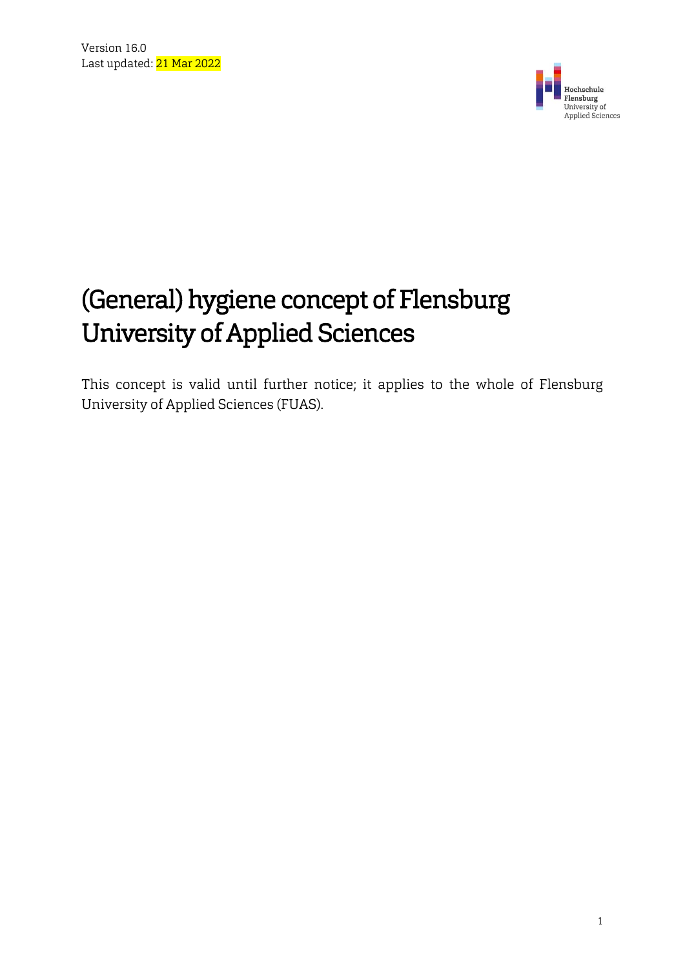

# (General) hygiene concept of Flensburg University of Applied Sciences

This concept is valid until further notice; it applies to the whole of Flensburg University of Applied Sciences (FUAS).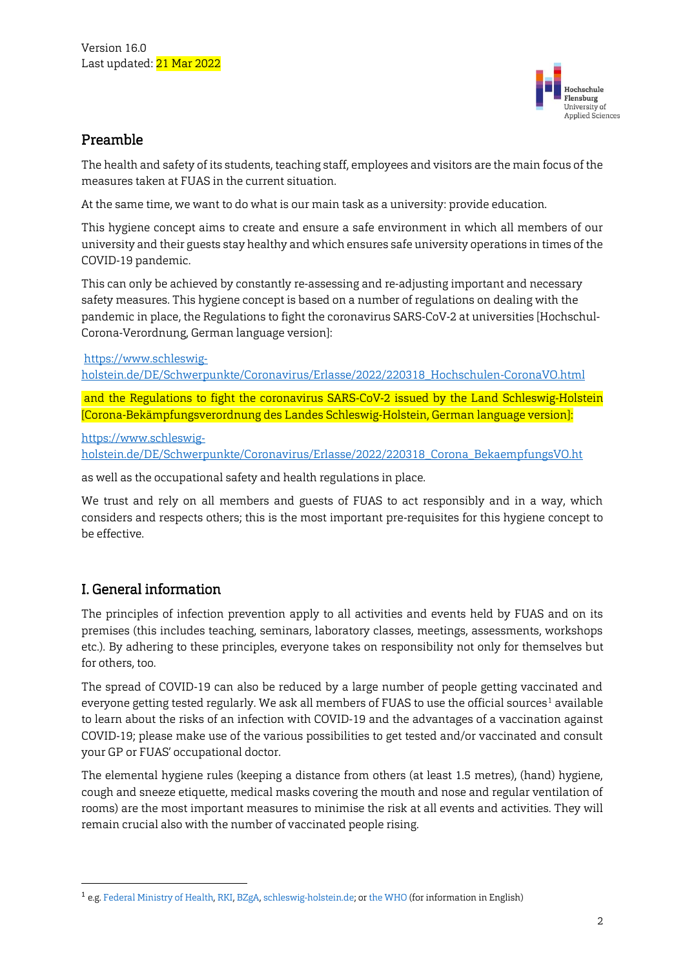

#### Preamble

The health and safety of its students, teaching staff, employees and visitors are the main focus of the measures taken at FUAS in the current situation.

At the same time, we want to do what is our main task as a university: provide education.

This hygiene concept aims to create and ensure a safe environment in which all members of our university and their guests stay healthy and which ensures safe university operations in times of the COVID-19 pandemic.

This can only be achieved by constantly re-assessing and re-adjusting important and necessary safety measures. This hygiene concept is based on a number of regulations on dealing with the pandemic in place, the Regulations to fight the coronavirus SARS-CoV-2 at universities [Hochschul-Corona-Verordnung, German language version]:

#### [https://www.schleswig-](https://www.schleswig-holstein.de/DE/Schwerpunkte/Coronavirus/Erlasse/2022/220318_Hochschulen-CoronaVO.html)

[holstein.de/DE/Schwerpunkte/Coronavirus/Erlasse/2022/220318\\_Hochschulen-CoronaVO.html](https://www.schleswig-holstein.de/DE/Schwerpunkte/Coronavirus/Erlasse/2022/220318_Hochschulen-CoronaVO.html)

and the Regulations to fight the coronavirus SARS-CoV-2 issued by the Land Schleswig-Holstein [Corona-Bekämpfungsverordnung des Landes Schleswig-Holstein, German language version]:

[https://www.schleswig-](https://www.schleswig-holstein.de/DE/Schwerpunkte/Coronavirus/Erlasse/2022/220318_Corona_BekaempfungsVO.ht)

[holstein.de/DE/Schwerpunkte/Coronavirus/Erlasse/2022/220318\\_Corona\\_BekaempfungsVO.ht](https://www.schleswig-holstein.de/DE/Schwerpunkte/Coronavirus/Erlasse/2022/220318_Corona_BekaempfungsVO.ht)

as well as the occupational safety and health regulations in place.

We trust and rely on all members and guests of FUAS to act responsibly and in a way, which considers and respects others; this is the most important pre-requisites for this hygiene concept to be effective.

## I. General information

**.** 

The principles of infection prevention apply to all activities and events held by FUAS and on its premises (this includes teaching, seminars, laboratory classes, meetings, assessments, workshops etc.). By adhering to these principles, everyone takes on responsibility not only for themselves but for others, too.

The spread of COVID-19 can also be reduced by a large number of people getting vaccinated and everyone getting tested regularly. We ask all members of FUAS to use the official sources<sup>1</sup> available to learn about the risks of an infection with COVID-19 and the advantages of a vaccination against COVID-19; please make use of the various possibilities to get tested and/or vaccinated and consult your GP or FUAS' occupational doctor.

The elemental hygiene rules (keeping a distance from others (at least 1.5 metres), (hand) hygiene, cough and sneeze etiquette, medical masks covering the mouth and nose and regular ventilation of rooms) are the most important measures to minimise the risk at all events and activities. They will remain crucial also with the number of vaccinated people rising.

 $^{\text{1}}$  e.g. Federal Ministry of Health, RKI, BZgA, schleswig-holstein.de; or the WHO (for information in English)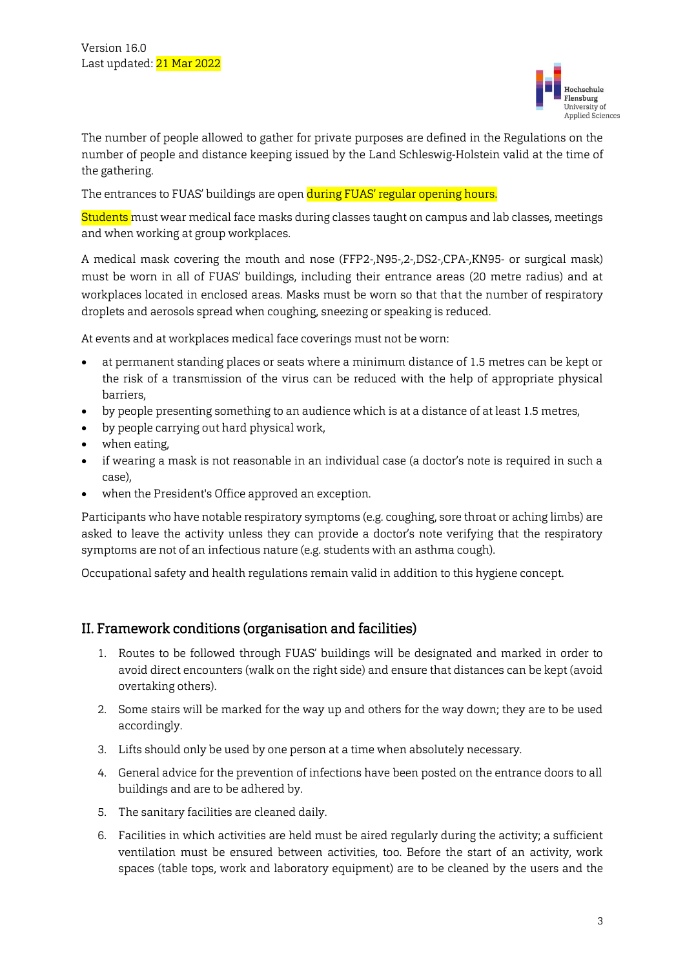

The number of people allowed to gather for private purposes are defined in the Regulations on the number of people and distance keeping issued by the Land Schleswig-Holstein valid at the time of the gathering.

The entrances to FUAS' buildings are open during FUAS' regular opening hours.

Students must wear medical face masks during classes taught on campus and lab classes, meetings and when working at group workplaces.

A medical mask covering the mouth and nose (FFP2-,N95-,2-,DS2-,CPA-,KN95- or surgical mask) must be worn in all of FUAS' buildings, including their entrance areas (20 metre radius) and at workplaces located in enclosed areas. Masks must be worn so that that the number of respiratory droplets and aerosols spread when coughing, sneezing or speaking is reduced.

At events and at workplaces medical face coverings must not be worn:

- at permanent standing places or seats where a minimum distance of 1.5 metres can be kept or the risk of a transmission of the virus can be reduced with the help of appropriate physical barriers,
- by people presenting something to an audience which is at a distance of at least 1.5 metres,
- by people carrying out hard physical work,
- when eating,
- if wearing a mask is not reasonable in an individual case (a doctor's note is required in such a case),
- when the President's Office approved an exception.

Participants who have notable respiratory symptoms (e.g. coughing, sore throat or aching limbs) are asked to leave the activity unless they can provide a doctor's note verifying that the respiratory symptoms are not of an infectious nature (e.g. students with an asthma cough).

Occupational safety and health regulations remain valid in addition to this hygiene concept.

#### II. Framework conditions (organisation and facilities)

- 1. Routes to be followed through FUAS' buildings will be designated and marked in order to avoid direct encounters (walk on the right side) and ensure that distances can be kept (avoid overtaking others).
- 2. Some stairs will be marked for the way up and others for the way down; they are to be used accordingly.
- 3. Lifts should only be used by one person at a time when absolutely necessary.
- 4. General advice for the prevention of infections have been posted on the entrance doors to all buildings and are to be adhered by.
- 5. The sanitary facilities are cleaned daily.
- 6. Facilities in which activities are held must be aired regularly during the activity; a sufficient ventilation must be ensured between activities, too. Before the start of an activity, work spaces (table tops, work and laboratory equipment) are to be cleaned by the users and the